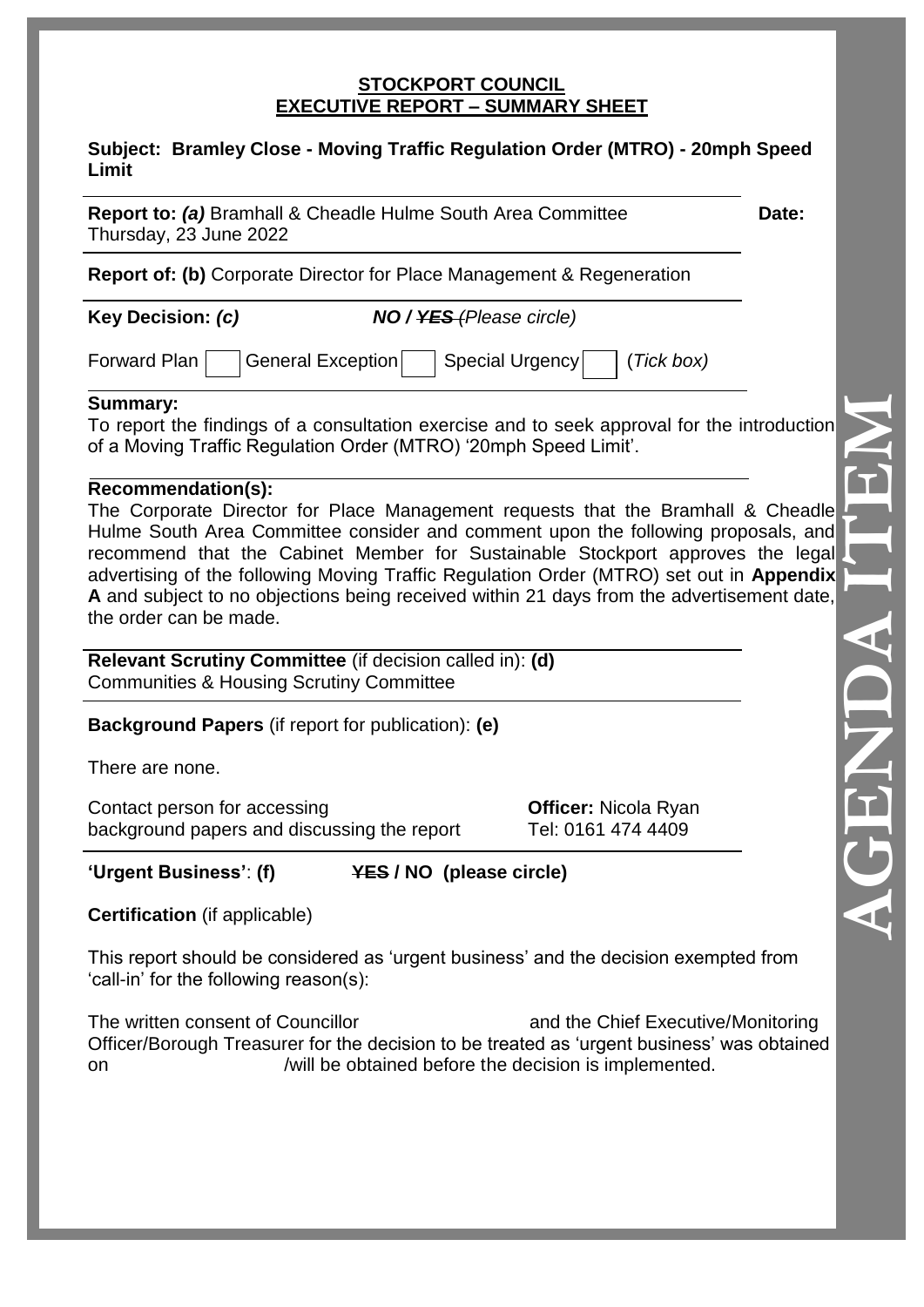#### **STOCKPORT COUNCIL EXECUTIVE REPORT – SUMMARY SHEET**

#### **Subject: Bramley Close - Moving Traffic Regulation Order (MTRO) - 20mph Speed Limit**

**Report to: (a)** Bramhall & Cheadle Hulme South Area Committee **Date:** Thursday, 23 June 2022

**Report of: (b)** Corporate Director for Place Management & Regeneration

**Key Decision:** *(c) NO / YES (Please circle)*

Forward Plan General Exception Special Urgency (*Tick box*)

**Summary:**

To report the findings of a consultation exercise and to seek approval for the introduction of a Moving Traffic Regulation Order (MTRO) '20mph Speed Limit'.

## **Recommendation(s):**

The Corporate Director for Place Management requests that the Bramhall & Cheadle Hulme South Area Committee consider and comment upon the following proposals, and recommend that the Cabinet Member for Sustainable Stockport approves the legal advertising of the following Moving Traffic Regulation Order (MTRO) set out in **Appendix A** and subject to no objections being received within 21 days from the advertisement date, the order can be made.

**Relevant Scrutiny Committee** (if decision called in): **(d)** Communities & Housing Scrutiny Committee

**Background Papers** (if report for publication): **(e)**

There are none.

Contact person for accessing **Officer:** Nicola Ryan background papers and discussing the report Tel: 0161 474 4409

# **'Urgent Business'**: **(f) YES / NO (please circle)**

**Certification** (if applicable)

This report should be considered as 'urgent business' and the decision exempted from 'call-in' for the following reason(s):

The written consent of Councillor and the Chief Executive/Monitoring Officer/Borough Treasurer for the decision to be treated as 'urgent business' was obtained on /will be obtained before the decision is implemented.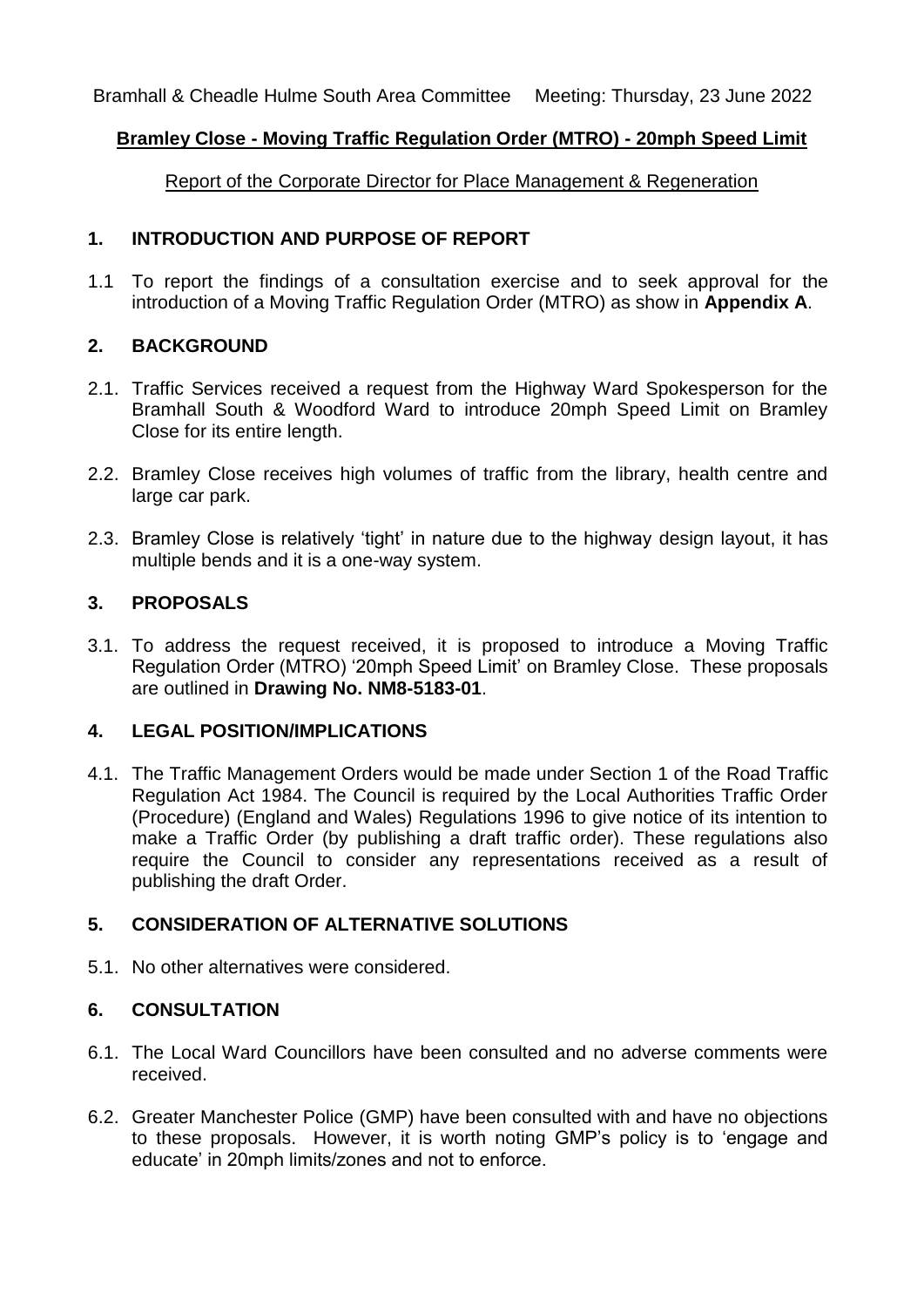Bramhall & Cheadle Hulme South Area Committee Meeting: Thursday, 23 June 2022

## **Bramley Close - Moving Traffic Regulation Order (MTRO) - 20mph Speed Limit**

Report of the Corporate Director for Place Management & Regeneration

## **1. INTRODUCTION AND PURPOSE OF REPORT**

1.1 To report the findings of a consultation exercise and to seek approval for the introduction of a Moving Traffic Regulation Order (MTRO) as show in **Appendix A**.

# **2. BACKGROUND**

- 2.1. Traffic Services received a request from the Highway Ward Spokesperson for the Bramhall South & Woodford Ward to introduce 20mph Speed Limit on Bramley Close for its entire length.
- 2.2. Bramley Close receives high volumes of traffic from the library, health centre and large car park.
- 2.3. Bramley Close is relatively 'tight' in nature due to the highway design layout, it has multiple bends and it is a one-way system.

## **3. PROPOSALS**

3.1. To address the request received, it is proposed to introduce a Moving Traffic Regulation Order (MTRO) '20mph Speed Limit' on Bramley Close. These proposals are outlined in **Drawing No. NM8-5183-01**.

# **4. LEGAL POSITION/IMPLICATIONS**

4.1. The Traffic Management Orders would be made under Section 1 of the Road Traffic Regulation Act 1984. The Council is required by the Local Authorities Traffic Order (Procedure) (England and Wales) Regulations 1996 to give notice of its intention to make a Traffic Order (by publishing a draft traffic order). These regulations also require the Council to consider any representations received as a result of publishing the draft Order.

# **5. CONSIDERATION OF ALTERNATIVE SOLUTIONS**

5.1. No other alternatives were considered.

## **6. CONSULTATION**

- 6.1. The Local Ward Councillors have been consulted and no adverse comments were received.
- 6.2. Greater Manchester Police (GMP) have been consulted with and have no objections to these proposals. However, it is worth noting GMP's policy is to 'engage and educate' in 20mph limits/zones and not to enforce.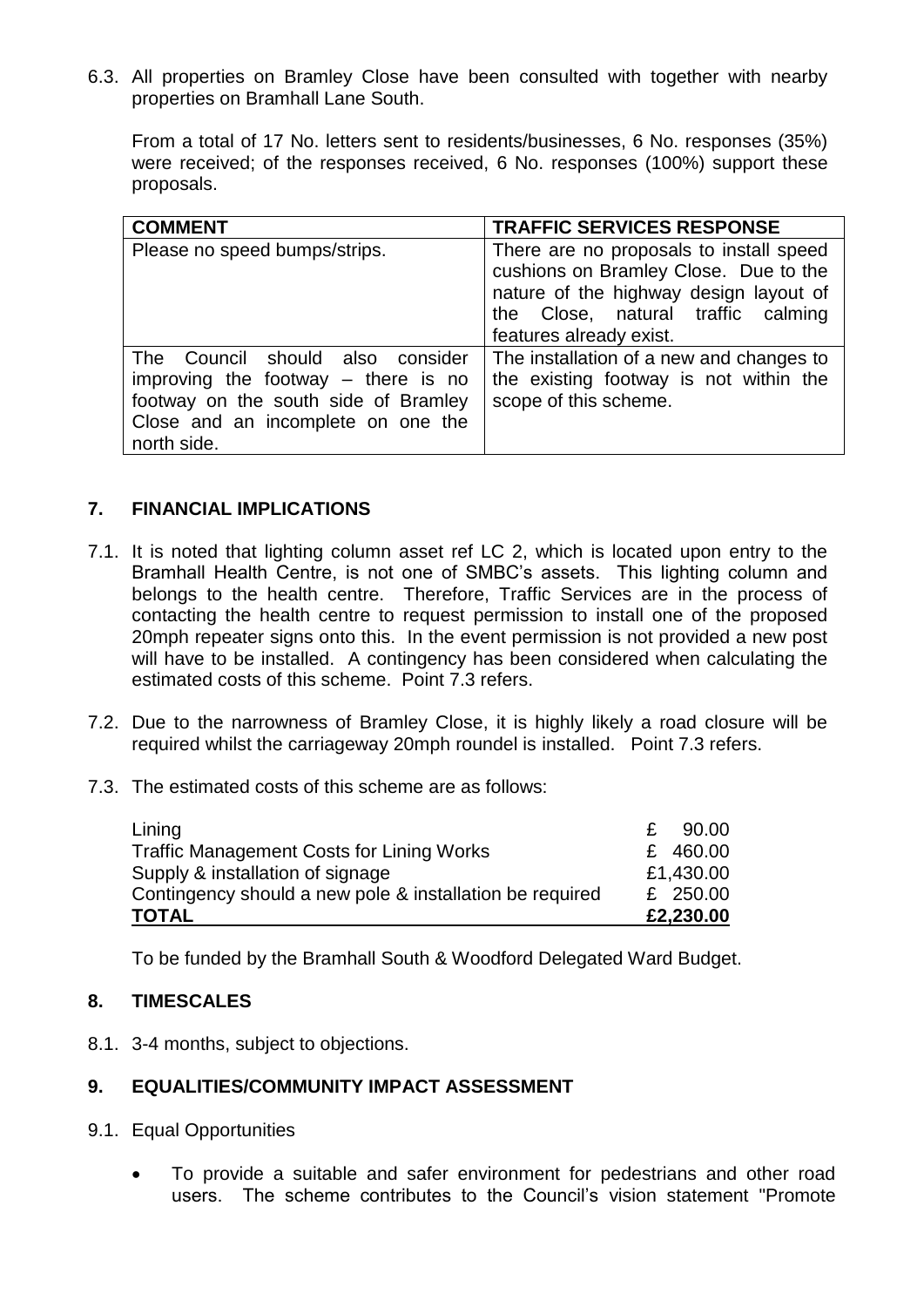6.3. All properties on Bramley Close have been consulted with together with nearby properties on Bramhall Lane South.

From a total of 17 No. letters sent to residents/businesses, 6 No. responses (35%) were received; of the responses received, 6 No. responses (100%) support these proposals.

| <b>COMMENT</b>                                                                                                                                                            | <b>TRAFFIC SERVICES RESPONSE</b>                                                                                                                                                            |
|---------------------------------------------------------------------------------------------------------------------------------------------------------------------------|---------------------------------------------------------------------------------------------------------------------------------------------------------------------------------------------|
| Please no speed bumps/strips.                                                                                                                                             | There are no proposals to install speed<br>cushions on Bramley Close. Due to the<br>nature of the highway design layout of<br>the Close, natural traffic calming<br>features already exist. |
| Council should also consider<br>The<br>improving the footway $-$ there is no<br>footway on the south side of Bramley<br>Close and an incomplete on one the<br>north side. | The installation of a new and changes to<br>the existing footway is not within the<br>scope of this scheme.                                                                                 |

## **7. FINANCIAL IMPLICATIONS**

- 7.1. It is noted that lighting column asset ref LC 2, which is located upon entry to the Bramhall Health Centre, is not one of SMBC's assets. This lighting column and belongs to the health centre. Therefore, Traffic Services are in the process of contacting the health centre to request permission to install one of the proposed 20mph repeater signs onto this. In the event permission is not provided a new post will have to be installed. A contingency has been considered when calculating the estimated costs of this scheme. Point 7.3 refers.
- 7.2. Due to the narrowness of Bramley Close, it is highly likely a road closure will be required whilst the carriageway 20mph roundel is installed. Point 7.3 refers.
- 7.3. The estimated costs of this scheme are as follows:

| Lining                                                   | £ | 90.00      |
|----------------------------------------------------------|---|------------|
| <b>Traffic Management Costs for Lining Works</b>         |   | £ 460.00   |
| Supply & installation of signage                         |   | £1,430.00  |
| Contingency should a new pole & installation be required |   | £ $250.00$ |
| <b>TOTAL</b>                                             |   | £2,230.00  |

To be funded by the Bramhall South & Woodford Delegated Ward Budget.

## **8. TIMESCALES**

8.1. 3-4 months, subject to objections.

## **9. EQUALITIES/COMMUNITY IMPACT ASSESSMENT**

- 9.1. Equal Opportunities
	- To provide a suitable and safer environment for pedestrians and other road users. The scheme contributes to the Council's vision statement "Promote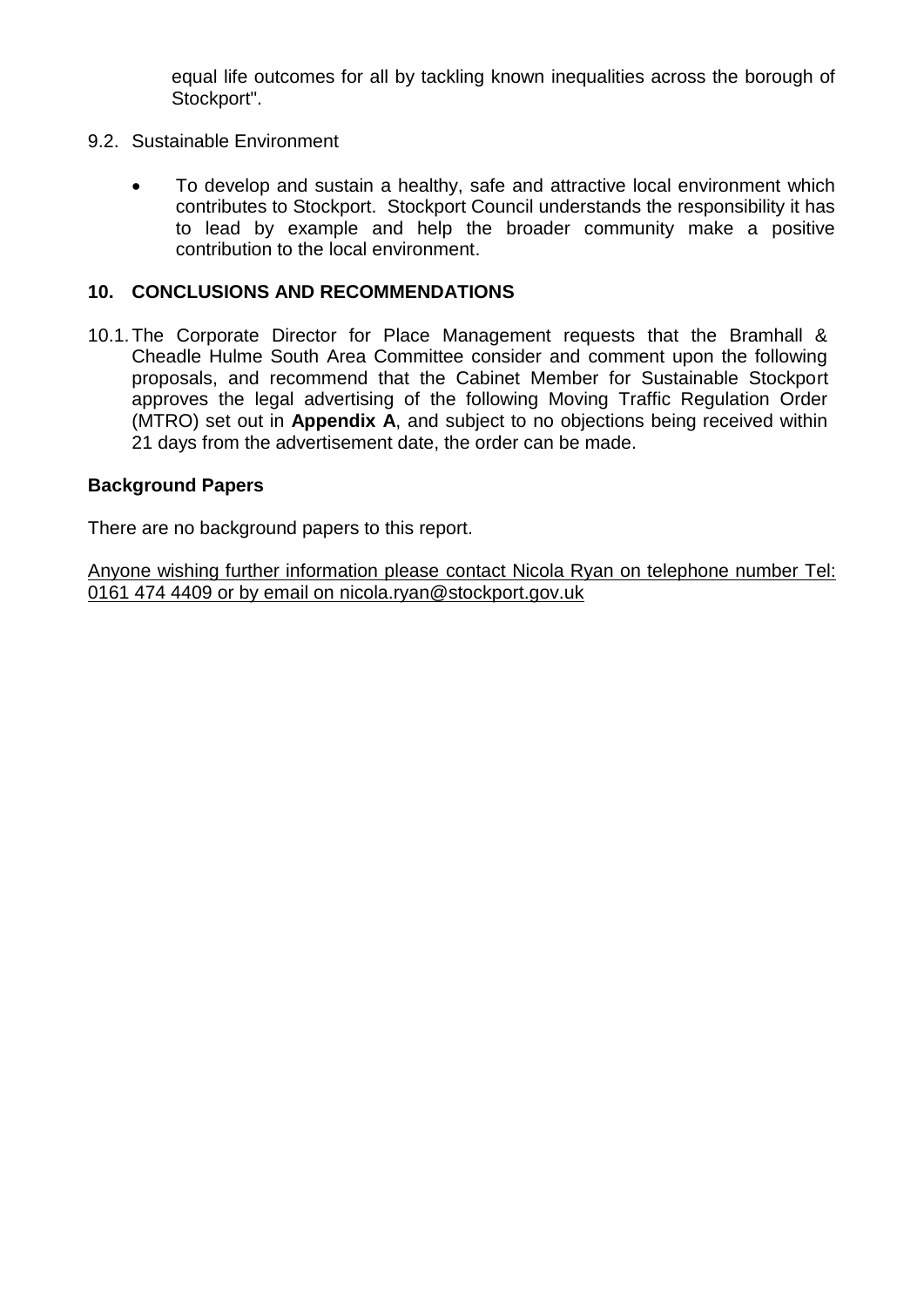equal life outcomes for all by tackling known inequalities across the borough of Stockport".

- 9.2. Sustainable Environment
	- To develop and sustain a healthy, safe and attractive local environment which contributes to Stockport. Stockport Council understands the responsibility it has to lead by example and help the broader community make a positive contribution to the local environment.

## **10. CONCLUSIONS AND RECOMMENDATIONS**

10.1.The Corporate Director for Place Management requests that the Bramhall & Cheadle Hulme South Area Committee consider and comment upon the following proposals, and recommend that the Cabinet Member for Sustainable Stockport approves the legal advertising of the following Moving Traffic Regulation Order (MTRO) set out in **Appendix A**, and subject to no objections being received within 21 days from the advertisement date, the order can be made.

## **Background Papers**

There are no background papers to this report.

Anyone wishing further information please contact Nicola Ryan on telephone number Tel: 0161 474 4409 or by email on nicola.ryan@stockport.gov.uk